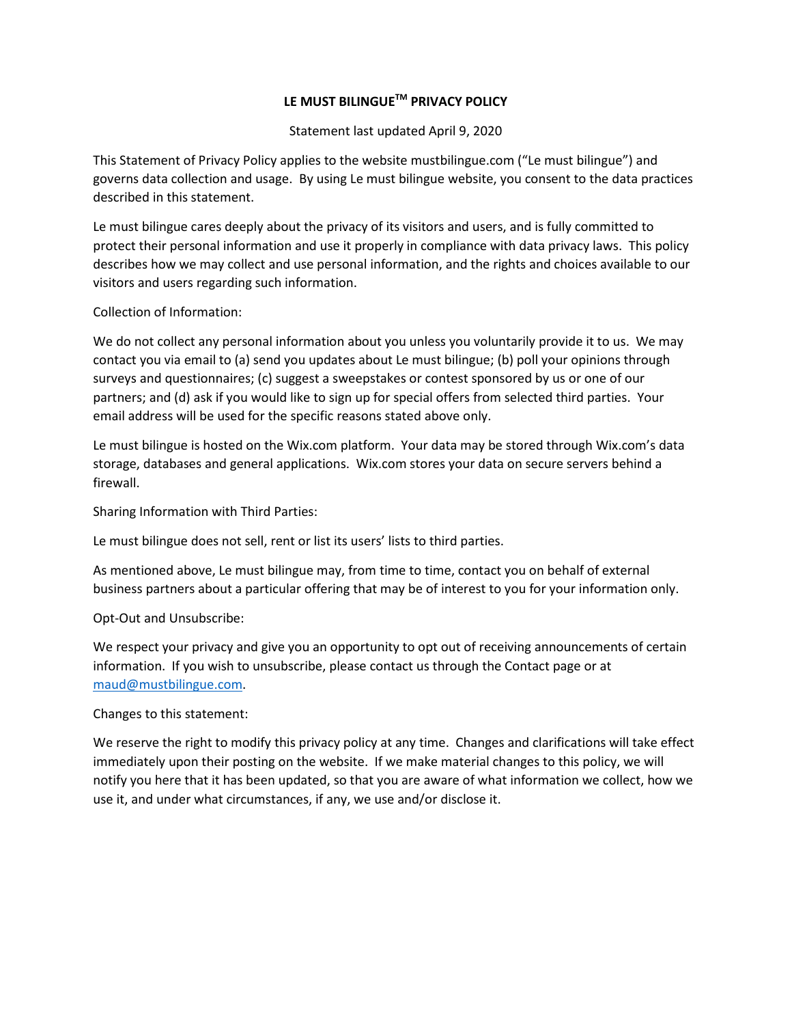## **LE MUST BILINGUETM PRIVACY POLICY**

Statement last updated April 9, 2020

This Statement of Privacy Policy applies to the website mustbilingue.com ("Le must bilingue") and governs data collection and usage. By using Le must bilingue website, you consent to the data practices described in this statement.

Le must bilingue cares deeply about the privacy of its visitors and users, and is fully committed to protect their personal information and use it properly in compliance with data privacy laws. This policy describes how we may collect and use personal information, and the rights and choices available to our visitors and users regarding such information.

Collection of Information:

We do not collect any personal information about you unless you voluntarily provide it to us. We may contact you via email to (a) send you updates about Le must bilingue; (b) poll your opinions through surveys and questionnaires; (c) suggest a sweepstakes or contest sponsored by us or one of our partners; and (d) ask if you would like to sign up for special offers from selected third parties. Your email address will be used for the specific reasons stated above only.

Le must bilingue is hosted on the Wix.com platform. Your data may be stored through Wix.com's data storage, databases and general applications. Wix.com stores your data on secure servers behind a firewall.

Sharing Information with Third Parties:

Le must bilingue does not sell, rent or list its users' lists to third parties.

As mentioned above, Le must bilingue may, from time to time, contact you on behalf of external business partners about a particular offering that may be of interest to you for your information only.

Opt-Out and Unsubscribe:

We respect your privacy and give you an opportunity to opt out of receiving announcements of certain information. If you wish to unsubscribe, please contact us through the Contact page or at maud@mustbilingue.com.

Changes to this statement:

We reserve the right to modify this privacy policy at any time. Changes and clarifications will take effect immediately upon their posting on the website. If we make material changes to this policy, we will notify you here that it has been updated, so that you are aware of what information we collect, how we use it, and under what circumstances, if any, we use and/or disclose it.